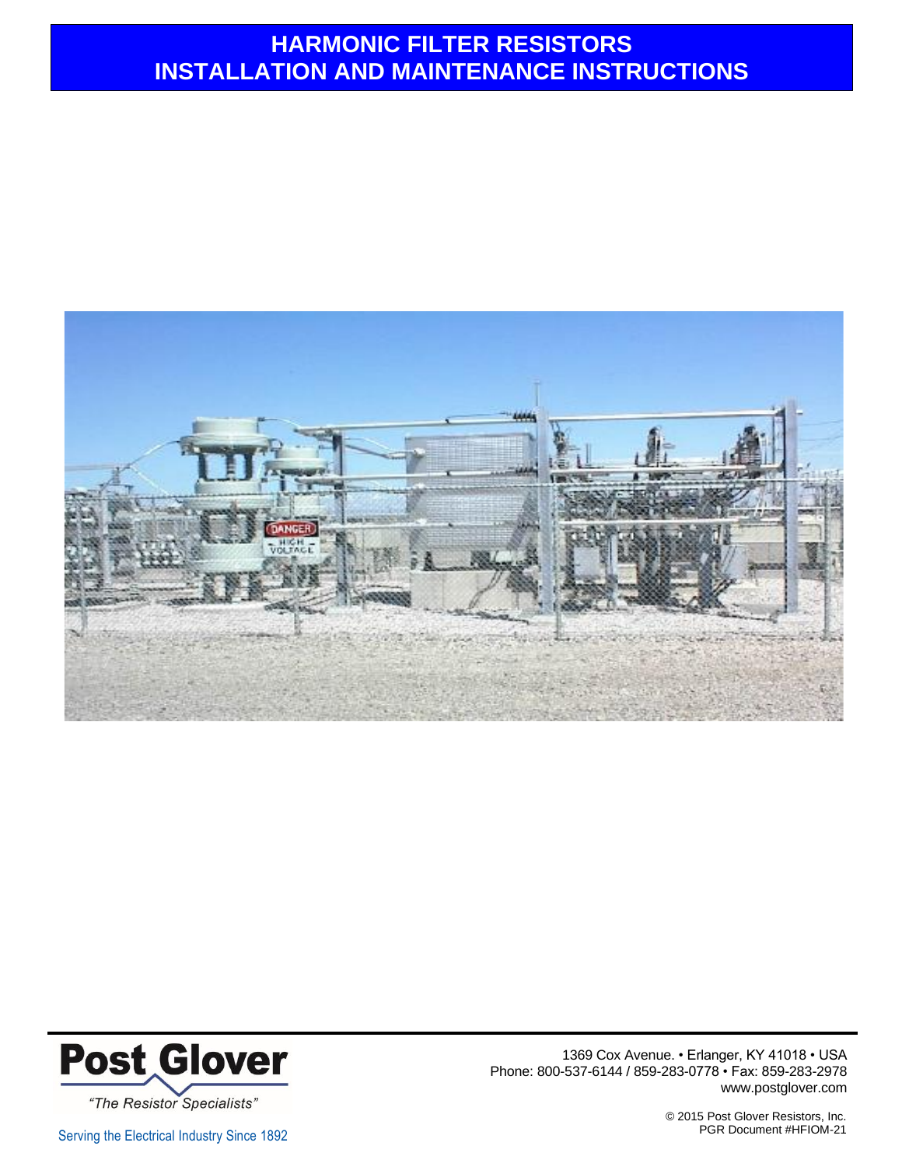



1369 Cox Avenue. • Erlanger, KY 41018 • USA Phone: 800-537-6144 / 859-283-0778 • Fax: 859-283-2978 www.postglover.com

© 2015 Post Glover Resistors, Inc.

Serving the Electrical Industry Since 1892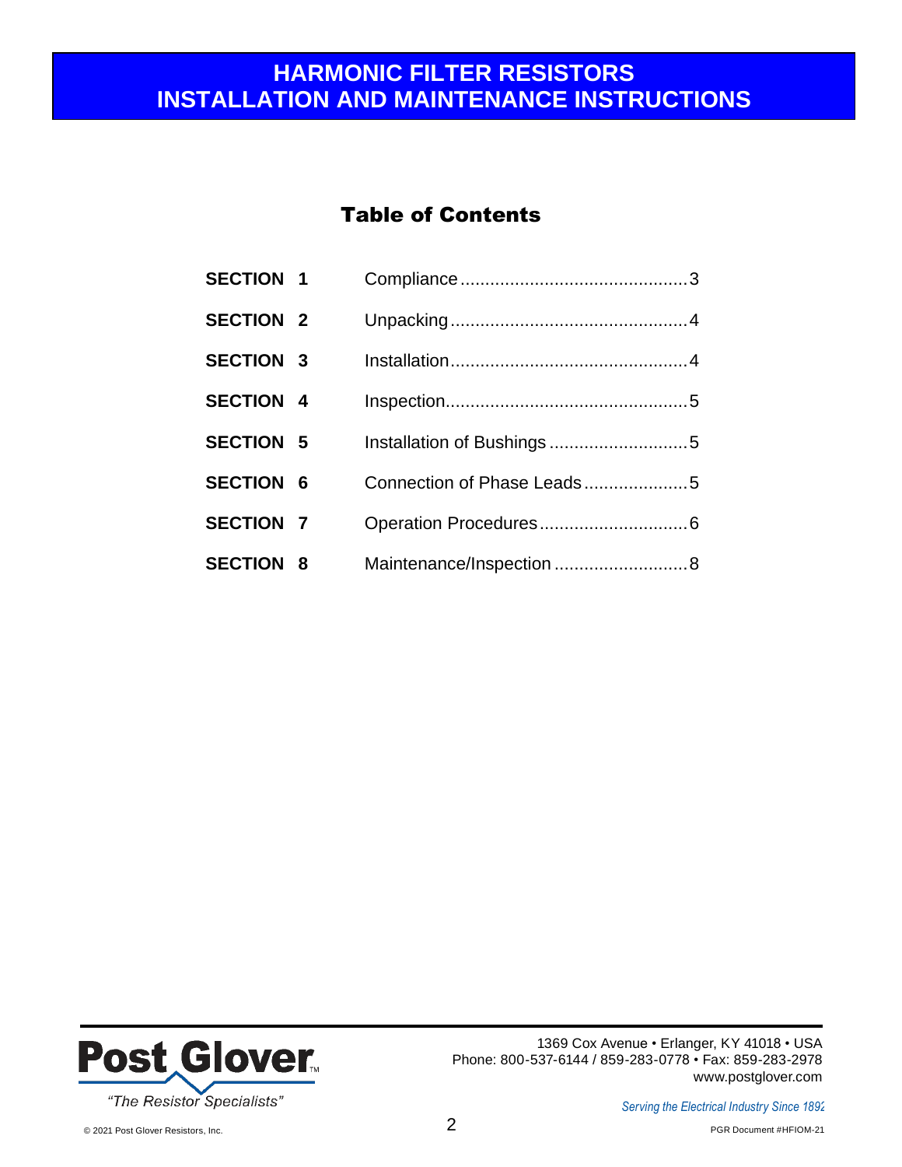### Table of Contents

| <b>SECTION 1</b> |                            |
|------------------|----------------------------|
| <b>SECTION 2</b> |                            |
| <b>SECTION 3</b> |                            |
| <b>SECTION 4</b> |                            |
| <b>SECTION 5</b> |                            |
| <b>SECTION 6</b> | Connection of Phase Leads5 |
| <b>SECTION 7</b> |                            |
| <b>SECTION 8</b> | Maintenance/Inspection 8   |

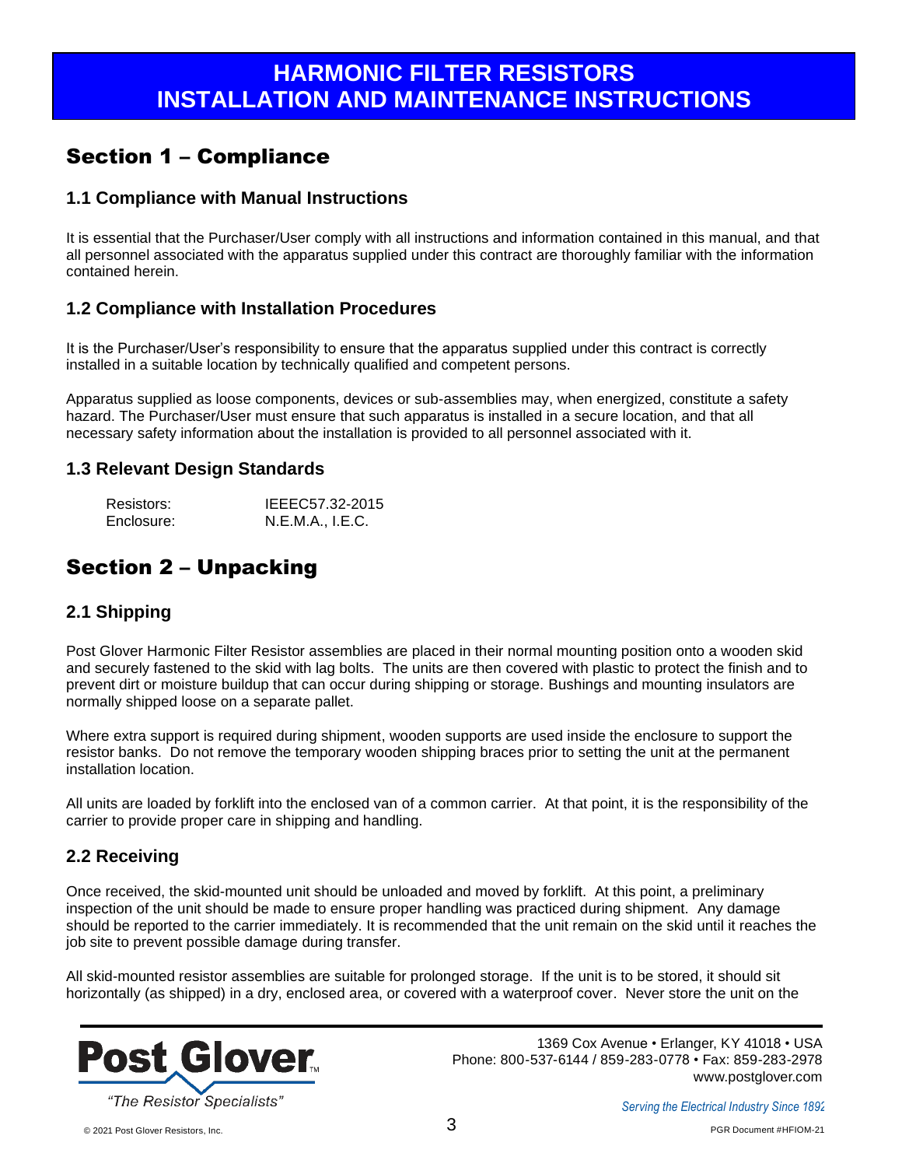### Section 1 – Compliance

#### **1.1 Compliance with Manual Instructions**

It is essential that the Purchaser/User comply with all instructions and information contained in this manual, and that all personnel associated with the apparatus supplied under this contract are thoroughly familiar with the information contained herein.

#### **1.2 Compliance with Installation Procedures**

It is the Purchaser/User's responsibility to ensure that the apparatus supplied under this contract is correctly installed in a suitable location by technically qualified and competent persons.

Apparatus supplied as loose components, devices or sub-assemblies may, when energized, constitute a safety hazard. The Purchaser/User must ensure that such apparatus is installed in a secure location, and that all necessary safety information about the installation is provided to all personnel associated with it.

#### **1.3 Relevant Design Standards**

| Resistors: | IEEEC57.32-2015  |
|------------|------------------|
| Enclosure: | N.E.M.A., I.E.C. |

#### Section 2 – Unpacking

#### **2.1 Shipping**

Post Glover Harmonic Filter Resistor assemblies are placed in their normal mounting position onto a wooden skid and securely fastened to the skid with lag bolts. The units are then covered with plastic to protect the finish and to prevent dirt or moisture buildup that can occur during shipping or storage. Bushings and mounting insulators are normally shipped loose on a separate pallet.

Where extra support is required during shipment, wooden supports are used inside the enclosure to support the resistor banks. Do not remove the temporary wooden shipping braces prior to setting the unit at the permanent installation location.

All units are loaded by forklift into the enclosed van of a common carrier. At that point, it is the responsibility of the carrier to provide proper care in shipping and handling.

#### **2.2 Receiving**

Once received, the skid-mounted unit should be unloaded and moved by forklift. At this point, a preliminary inspection of the unit should be made to ensure proper handling was practiced during shipment. Any damage should be reported to the carrier immediately. It is recommended that the unit remain on the skid until it reaches the job site to prevent possible damage during transfer.

All skid-mounted resistor assemblies are suitable for prolonged storage. If the unit is to be stored, it should sit horizontally (as shipped) in a dry, enclosed area, or covered with a waterproof cover. Never store the unit on the

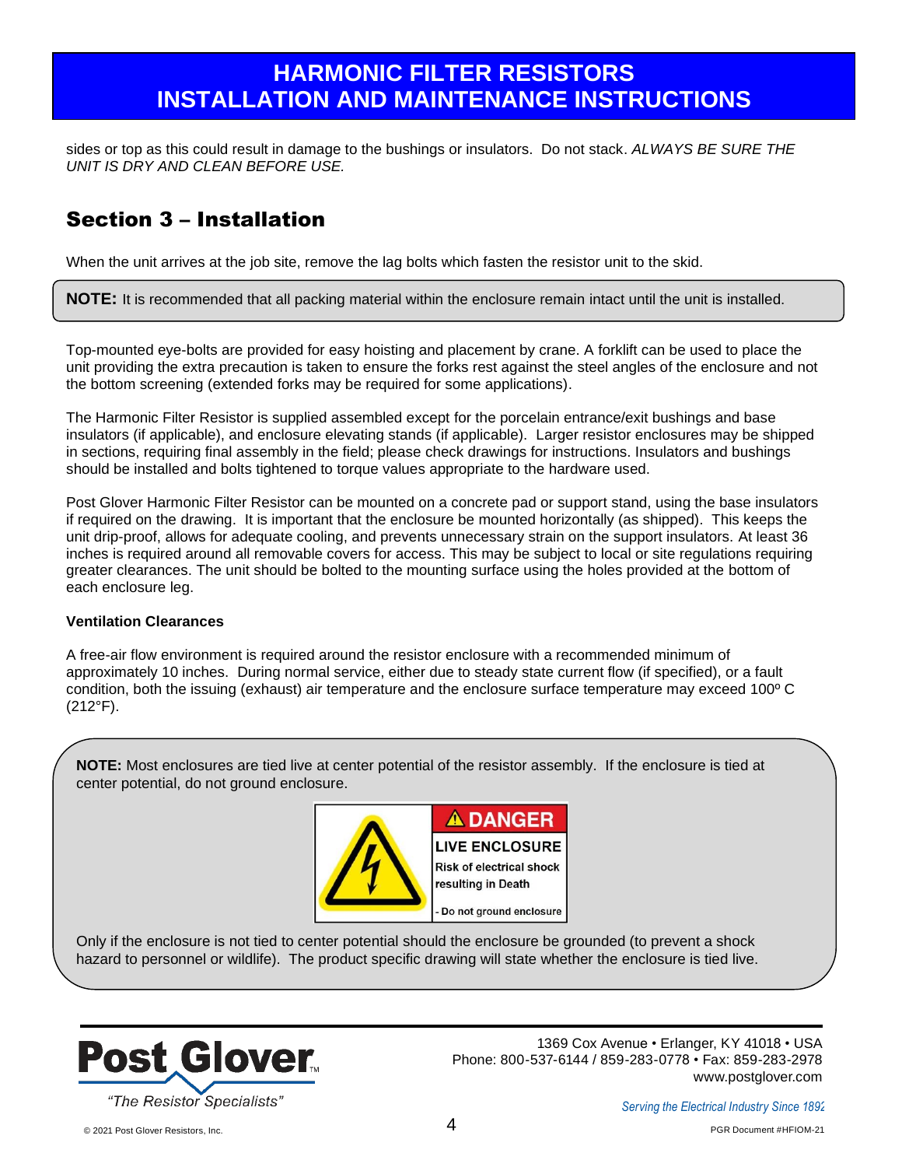sides or top as this could result in damage to the bushings or insulators. Do not stack. *ALWAYS BE SURE THE UNIT IS DRY AND CLEAN BEFORE USE.*

## Section 3 – Installation

When the unit arrives at the job site, remove the lag bolts which fasten the resistor unit to the skid.

**NOTE:** It is recommended that all packing material within the enclosure remain intact until the unit is installed.

Top-mounted eye-bolts are provided for easy hoisting and placement by crane. A forklift can be used to place the unit providing the extra precaution is taken to ensure the forks rest against the steel angles of the enclosure and not the bottom screening (extended forks may be required for some applications).

The Harmonic Filter Resistor is supplied assembled except for the porcelain entrance/exit bushings and base insulators (if applicable), and enclosure elevating stands (if applicable). Larger resistor enclosures may be shipped in sections, requiring final assembly in the field; please check drawings for instructions. Insulators and bushings should be installed and bolts tightened to torque values appropriate to the hardware used.

Post Glover Harmonic Filter Resistor can be mounted on a concrete pad or support stand, using the base insulators if required on the drawing. It is important that the enclosure be mounted horizontally (as shipped). This keeps the unit drip-proof, allows for adequate cooling, and prevents unnecessary strain on the support insulators. At least 36 inches is required around all removable covers for access. This may be subject to local or site regulations requiring greater clearances. The unit should be bolted to the mounting surface using the holes provided at the bottom of each enclosure leg.

#### **Ventilation Clearances**

A free-air flow environment is required around the resistor enclosure with a recommended minimum of approximately 10 inches. During normal service, either due to steady state current flow (if specified), or a fault condition, both the issuing (exhaust) air temperature and the enclosure surface temperature may exceed 100º C (212°F).

**NOTE:** Most enclosures are tied live at center potential of the resistor assembly. If the enclosure is tied at center potential, do not ground enclosure.



Only if the enclosure is not tied to center potential should the enclosure be grounded (to prevent a shock hazard to personnel or wildlife). The product specific drawing will state whether the enclosure is tied live.

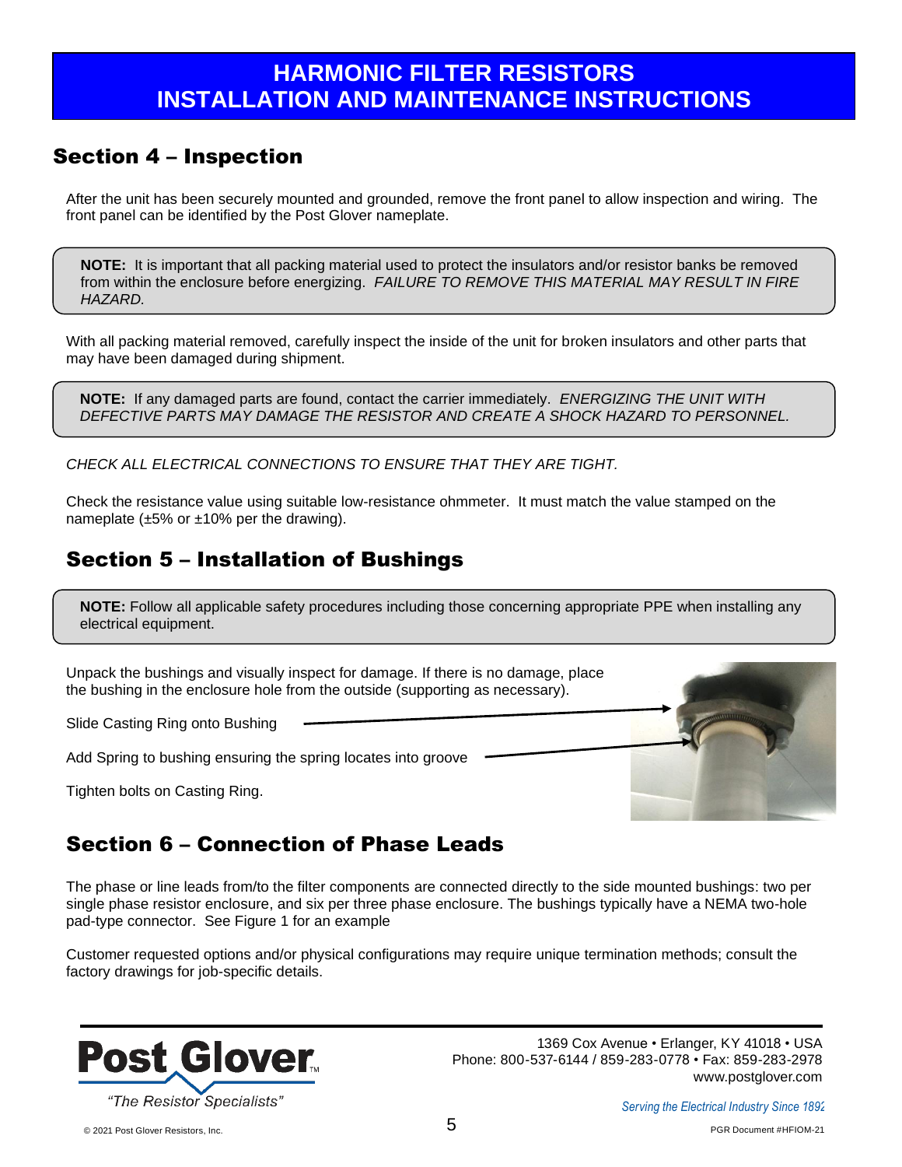### Section 4 – Inspection

After the unit has been securely mounted and grounded, remove the front panel to allow inspection and wiring. The front panel can be identified by the Post Glover nameplate.

**NOTE:** It is important that all packing material used to protect the insulators and/or resistor banks be removed from within the enclosure before energizing. *FAILURE TO REMOVE THIS MATERIAL MAY RESULT IN FIRE HAZARD.*

With all packing material removed, carefully inspect the inside of the unit for broken insulators and other parts that may have been damaged during shipment.

**NOTE:** If any damaged parts are found, contact the carrier immediately. *ENERGIZING THE UNIT WITH DEFECTIVE PARTS MAY DAMAGE THE RESISTOR AND CREATE A SHOCK HAZARD TO PERSONNEL.*

*CHECK ALL ELECTRICAL CONNECTIONS TO ENSURE THAT THEY ARE TIGHT.*

Check the resistance value using suitable low-resistance ohmmeter. It must match the value stamped on the nameplate  $(\pm 5\% \text{ or } \pm 10\% \text{ per the drawing}).$ 

## Section 5 – Installation of Bushings

**NOTE:** Follow all applicable safety procedures including those concerning appropriate PPE when installing any electrical equipment.

Unpack the bushings and visually inspect for damage. If there is no damage, place the bushing in the enclosure hole from the outside (supporting as necessary).

Slide Casting Ring onto Bushing

.

.

Add Spring to bushing ensuring the spring locates into groove

Tighten bolts on Casting Ring.



# Section 6 – Connection of Phase Leads

The phase or line leads from/to the filter components are connected directly to the side mounted bushings: two per single phase resistor enclosure, and six per three phase enclosure. The bushings typically have a NEMA two-hole pad-type connector. See Figure 1 for an example

Customer requested options and/or physical configurations may require unique termination methods; consult the factory drawings for job-specific details.

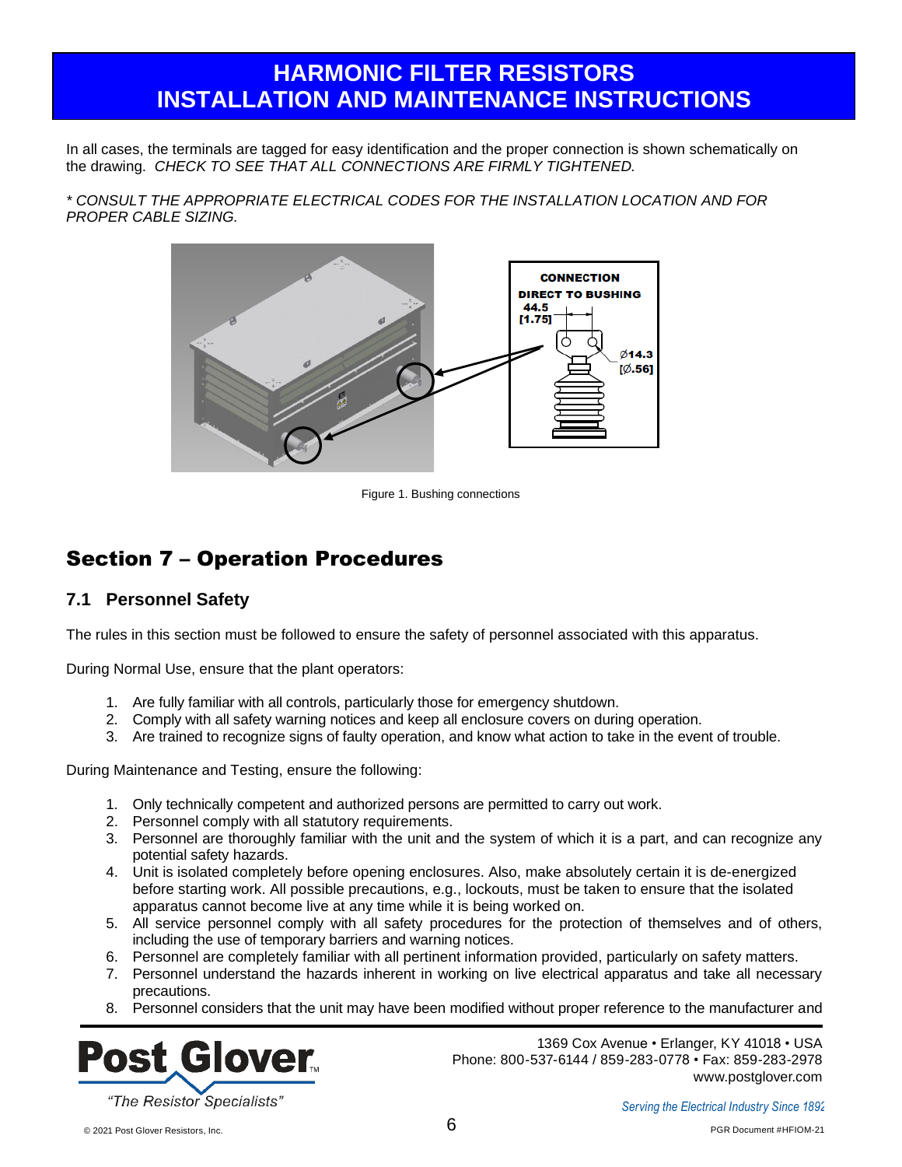In all cases, the terminals are tagged for easy identification and the proper connection is shown schematically on the drawing. *CHECK TO SEE THAT ALL CONNECTIONS ARE FIRMLY TIGHTENED.*

*\* CONSULT THE APPROPRIATE ELECTRICAL CODES FOR THE INSTALLATION LOCATION AND FOR PROPER CABLE SIZING.*



Figure 1. Bushing connections

### Section 7 – Operation Procedures

#### **7.1 Personnel Safety**

The rules in this section must be followed to ensure the safety of personnel associated with this apparatus.

During Normal Use, ensure that the plant operators:

- 1. Are fully familiar with all controls, particularly those for emergency shutdown.
- 2. Comply with all safety warning notices and keep all enclosure covers on during operation.
- 3. Are trained to recognize signs of faulty operation, and know what action to take in the event of trouble.

During Maintenance and Testing, ensure the following:

- 1. Only technically competent and authorized persons are permitted to carry out work.
- 2. Personnel comply with all statutory requirements.
- 3. Personnel are thoroughly familiar with the unit and the system of which it is a part, and can recognize any potential safety hazards.
- 4. Unit is isolated completely before opening enclosures. Also, make absolutely certain it is de-energized before starting work. All possible precautions, e.g., lockouts, must be taken to ensure that the isolated apparatus cannot become live at any time while it is being worked on.
- 5. All service personnel comply with all safety procedures for the protection of themselves and of others, including the use of temporary barriers and warning notices.
- 6. Personnel are completely familiar with all pertinent information provided, particularly on safety matters.
- 7. Personnel understand the hazards inherent in working on live electrical apparatus and take all necessary precautions.
- 8. Personnel considers that the unit may have been modified without proper reference to the manufacturer and

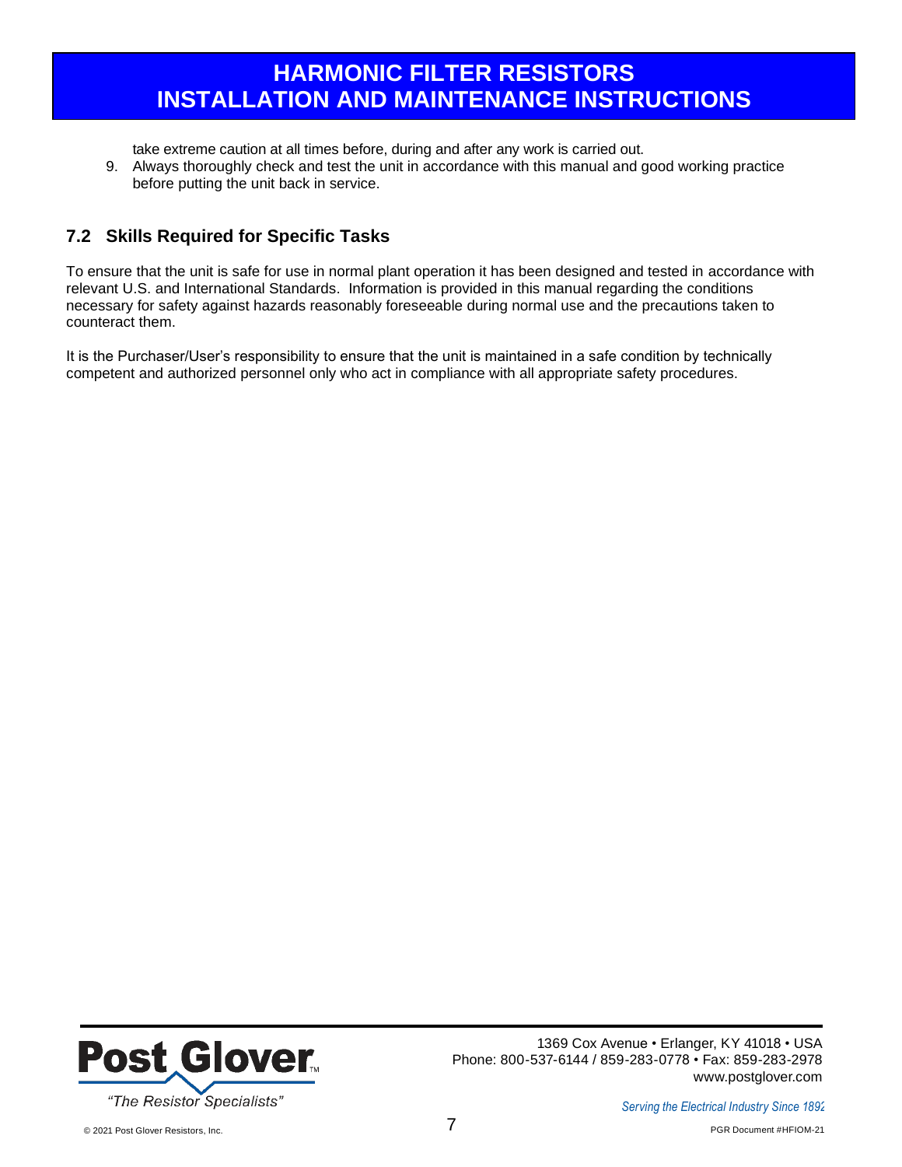take extreme caution at all times before, during and after any work is carried out.

9. Always thoroughly check and test the unit in accordance with this manual and good working practice before putting the unit back in service.

#### **7.2 Skills Required for Specific Tasks**

To ensure that the unit is safe for use in normal plant operation it has been designed and tested in accordance with relevant U.S. and International Standards. Information is provided in this manual regarding the conditions necessary for safety against hazards reasonably foreseeable during normal use and the precautions taken to counteract them.

It is the Purchaser/User's responsibility to ensure that the unit is maintained in a safe condition by technically competent and authorized personnel only who act in compliance with all appropriate safety procedures.